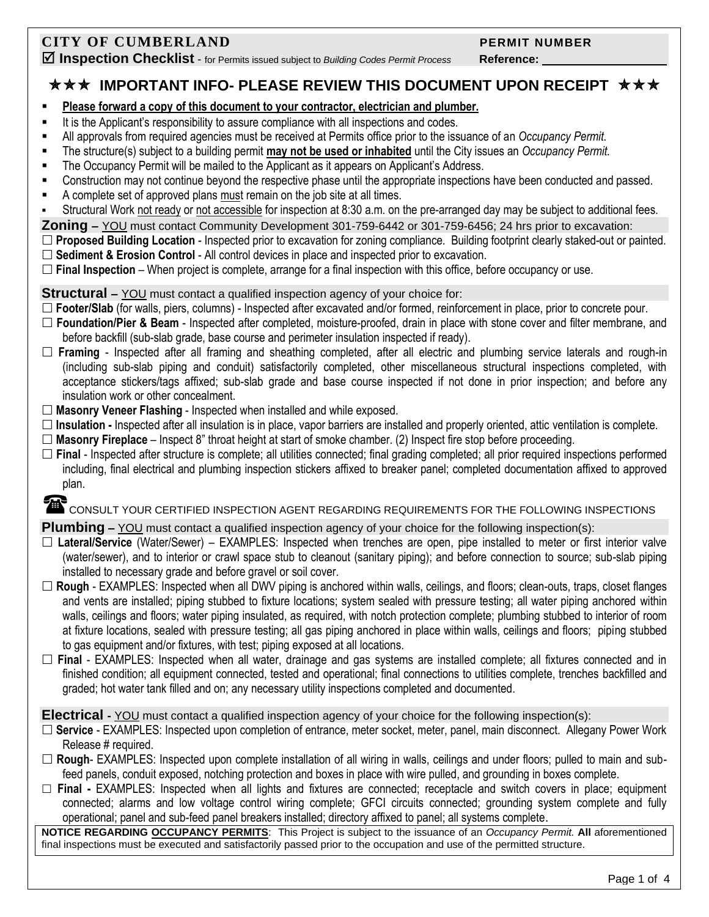# **CITY OF CUMBERLAND PERMIT NUMBER**

**Inspection Checklist** - for Permits issued subject to *Building Codes Permit Process* **Reference:** 

**★★★ IMPORTANT INFO- PLEASE REVIEW THIS DOCUMENT UPON RECEIPT ★★★** 

- **Please forward a copy of this document to your contractor, electrician and plumber.**
- It is the Applicant's responsibility to assure compliance with all inspections and codes.
- All approvals from required agencies must be received at Permits office prior to the issuance of an *Occupancy Permit.*
- The structure(s) subject to a building permit **may not be used or inhabited** until the City issues an *Occupancy Permit.*
- **The Occupancy Permit will be mailed to the Applicant as it appears on Applicant's Address.**
- Construction may not continue beyond the respective phase until the appropriate inspections have been conducted and passed.
- A complete set of approved plans must remain on the job site at all times.
- Structural Work not ready or not accessible for inspection at 8:30 a.m. on the pre-arranged day may be subject to additional fees.
- **Zoning –** YOU must contact Community Development 301-759-6442 or 301-759-6456; 24 hrs prior to excavation:
- **Proposed Building Location** Inspected prior to excavation for zoning compliance. Building footprint clearly staked-out or painted. **Sediment & Erosion Control** - All control devices in place and inspected prior to excavation.

**Final Inspection** – When project is complete, arrange for a final inspection with this office, before occupancy or use.

#### **Structural –** YOU must contact a qualified inspection agency of your choice for:

- □ Footer/Slab (for walls, piers, columns) Inspected after excavated and/or formed, reinforcement in place, prior to concrete pour.
- **Foundation/Pier & Beam**  Inspected after completed, moisture-proofed, drain in place with stone cover and filter membrane, and before backfill (sub-slab grade, base course and perimeter insulation inspected if ready).
- **Framing**  Inspected after all framing and sheathing completed, after all electric and plumbing service laterals and rough-in (including sub-slab piping and conduit) satisfactorily completed, other miscellaneous structural inspections completed, with acceptance stickers/tags affixed; sub-slab grade and base course inspected if not done in prior inspection; and before any insulation work or other concealment.
- **Masonry Veneer Flashing** Inspected when installed and while exposed.
- **Insulation -** Inspected after all insulation is in place, vapor barriers are installed and properly oriented, attic ventilation is complete.
- **Masonry Fireplace** Inspect 8" throat height at start of smoke chamber. (2) Inspect fire stop before proceeding.
- **Final**  Inspected after structure is complete; all utilities connected; final grading completed; all prior required inspections performed including, final electrical and plumbing inspection stickers affixed to breaker panel; completed documentation affixed to approved plan.

# CONSULT YOUR CERTIFIED INSPECTION AGENT REGARDING REQUIREMENTS FOR THE FOLLOWING INSPECTIONS

### **Plumbing** – YOU must contact a qualified inspection agency of your choice for the following inspection(s):

- **Lateral/Service** (Water/Sewer) EXAMPLES: Inspected when trenches are open, pipe installed to meter or first interior valve (water/sewer), and to interior or crawl space stub to cleanout (sanitary piping); and before connection to source; sub-slab piping installed to necessary grade and before gravel or soil cover.
- □ Rough EXAMPLES: Inspected when all DWV piping is anchored within walls, ceilings, and floors; clean-outs, traps, closet flanges and vents are installed; piping stubbed to fixture locations; system sealed with pressure testing; all water piping anchored within walls, ceilings and floors; water piping insulated, as required, with notch protection complete; plumbing stubbed to interior of room at fixture locations, sealed with pressure testing; all gas piping anchored in place within walls, ceilings and floors; piping stubbed to gas equipment and/or fixtures, with test; piping exposed at all locations.
- **Final**  EXAMPLES: Inspected when all water, drainage and gas systems are installed complete; all fixtures connected and in finished condition; all equipment connected, tested and operational; final connections to utilities complete, trenches backfilled and graded; hot water tank filled and on; any necessary utility inspections completed and documented.

**Electrical -** YOU must contact a qualified inspection agency of your choice for the following inspection(s):

- **Service** EXAMPLES: Inspected upon completion of entrance, meter socket, meter, panel, main disconnect. Allegany Power Work Release # required.
- **Rough** EXAMPLES: Inspected upon complete installation of all wiring in walls, ceilings and under floors; pulled to main and subfeed panels, conduit exposed, notching protection and boxes in place with wire pulled, and grounding in boxes complete.
- **Final -** EXAMPLES: Inspected when all lights and fixtures are connected; receptacle and switch covers in place; equipment connected; alarms and low voltage control wiring complete; GFCI circuits connected; grounding system complete and fully operational; panel and sub-feed panel breakers installed; directory affixed to panel; all systems complete.

**NOTICE REGARDING OCCUPANCY PERMITS**: This Project is subject to the issuance of an *Occupancy Permit.* **All** aforementioned final inspections must be executed and satisfactorily passed prior to the occupation and use of the permitted structure.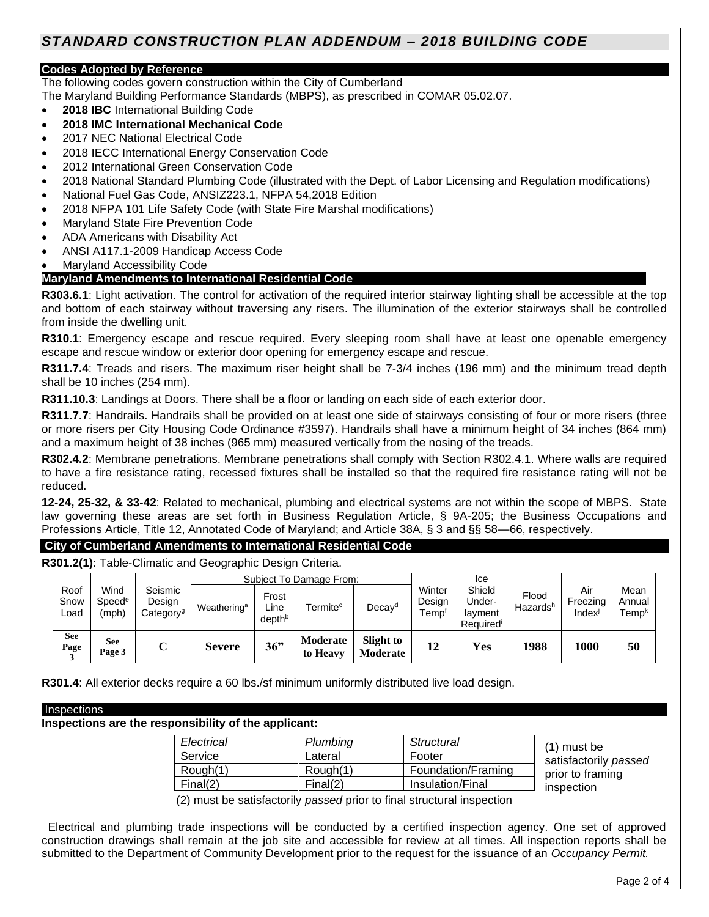# *STANDARD CONSTRUCTION PLAN ADDENDUM – 2018 BUILDING CODE*

#### **Codes Adopted by Reference**

The following codes govern construction within the City of Cumberland

The Maryland Building Performance Standards (MBPS), as prescribed in COMAR 05.02.07.

- **2018 IBC** International Building Code
- **2018 IMC International Mechanical Code**
- 2017 NEC National Electrical Code
- 2018 IECC International Energy Conservation Code
- 2012 International Green Conservation Code
- 2018 National Standard Plumbing Code (illustrated with the Dept. of Labor Licensing and Regulation modifications)
- National Fuel Gas Code, ANSIZ223.1, NFPA 54,2018 Edition
- 2018 NFPA 101 Life Safety Code (with State Fire Marshal modifications)
- Maryland State Fire Prevention Code
- ADA Americans with Disability Act
- ANSI A117.1-2009 Handicap Access Code
- Maryland Accessibility Code

#### **Maryland Amendments to International Residential Code**

**R303.6.1**: Light activation. The control for activation of the required interior stairway lighting shall be accessible at the top and bottom of each stairway without traversing any risers. The illumination of the exterior stairways shall be controlled from inside the dwelling unit.

**R310.1**: Emergency escape and rescue required. Every sleeping room shall have at least one openable emergency escape and rescue window or exterior door opening for emergency escape and rescue.

**R311.7.4**: Treads and risers. The maximum riser height shall be 7-3/4 inches (196 mm) and the minimum tread depth shall be 10 inches (254 mm).

**R311.10.3**: Landings at Doors. There shall be a floor or landing on each side of each exterior door.

**R311.7.7**: Handrails. Handrails shall be provided on at least one side of stairways consisting of four or more risers (three or more risers per City Housing Code Ordinance #3597). Handrails shall have a minimum height of 34 inches (864 mm) and a maximum height of 38 inches (965 mm) measured vertically from the nosing of the treads.

**R302.4.2**: Membrane penetrations. Membrane penetrations shall comply with Section R302.4.1. Where walls are required to have a fire resistance rating, recessed fixtures shall be installed so that the required fire resistance rating will not be reduced.

**12-24, 25-32, & 33-42**: Related to mechanical, plumbing and electrical systems are not within the scope of MBPS. State law governing these areas are set forth in Business Regulation Article, § 9A-205; the Business Occupations and Professions Article, Title 12, Annotated Code of Maryland; and Article 38A, § 3 and §§ 58—66, respectively.

#### **City of Cumberland Amendments to International Residential Code**

**R301.2(1)**: Table-Climatic and Geographic Design Criteria.

|                      |                                     |                                            | Subject To Damage From: |                                     |                      |                       |                          | Ice                                     |                               |                          |                                     |
|----------------------|-------------------------------------|--------------------------------------------|-------------------------|-------------------------------------|----------------------|-----------------------|--------------------------|-----------------------------------------|-------------------------------|--------------------------|-------------------------------------|
| Roof<br>Snow<br>Load | Wind<br>Speed <sup>e</sup><br>(mph) | Seismic<br>Design<br>Category <sup>g</sup> | Weathering <sup>a</sup> | Frost<br>∟ine<br>depth <sup>b</sup> | Termite <sup>c</sup> | Decay <sup>d</sup>    | Winter<br>Desian<br>Temp | Shield<br>Under-<br>layment<br>Required | Flood<br>Hazards <sup>h</sup> | Air<br>Freezing<br>Index | Mean<br>Annual<br>Temp <sup>k</sup> |
| <b>See</b><br>Page   | <b>See</b><br>Page 3                | ◡                                          | <b>Severe</b>           | 36"                                 | Moderate<br>to Heavy | Slight to<br>Moderate | 12                       | Yes                                     | 1988                          | 1000                     | 50                                  |

**R301.4**: All exterior decks require a 60 lbs./sf minimum uniformly distributed live load design.

#### **Inspections are the responsibility of the applicant:**

| Electrical | Plumbing | Structural         |
|------------|----------|--------------------|
| Service    | Lateral  | Footer             |
| Rough(1)   | Rough(1) | Foundation/Framing |
| Final(2)   | Final(2) | Insulation/Final   |

 (1) must be satisfactorily *passed* prior to framing inspection

(2) must be satisfactorily *passed* prior to final structural inspection

 Electrical and plumbing trade inspections will be conducted by a certified inspection agency. One set of approved construction drawings shall remain at the job site and accessible for review at all times. All inspection reports shall be submitted to the Department of Community Development prior to the request for the issuance of an *Occupancy Permit.*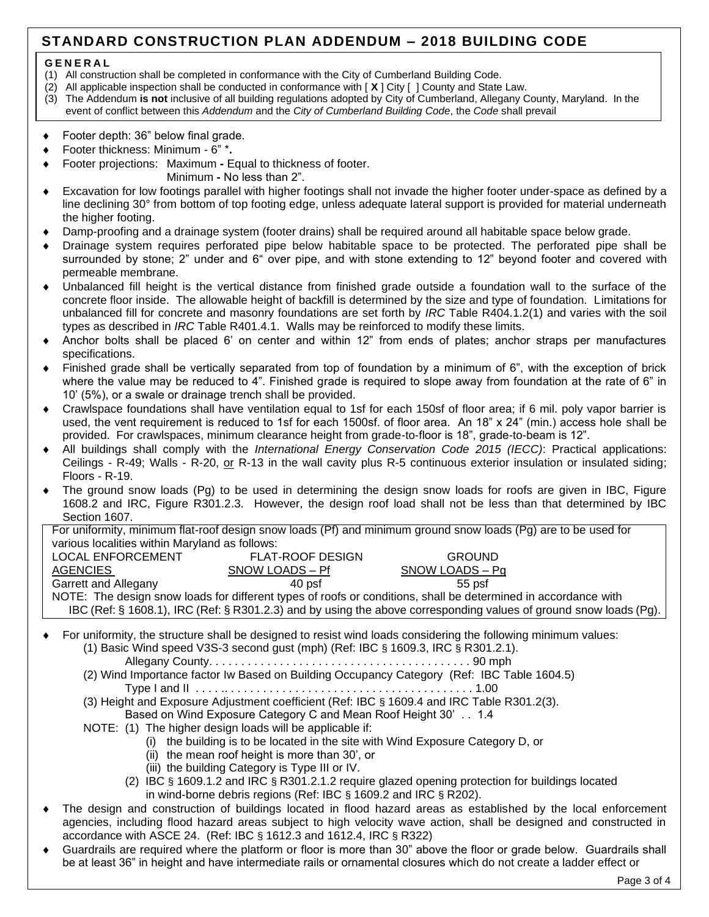# **STANDARD CONSTRUCTION PLAN ADDENDUM – 2018 BUILDING CODE**

#### **G E N E R A L**

- (1) All construction shall be completed in conformance with the City of Cumberland Building Code.
- (2) All applicable inspection shall be conducted in conformance with [ **X** ] City [] County and State Law.
- (3) The Addendum **is not** inclusive of all building regulations adopted by City of Cumberland, Allegany County, Maryland. In the event of conflict between this *Addendum* and the *City of Cumberland Building Code*, the *Code* shall prevail
- Footer depth: 36" below final grade.
- Footer thickness: Minimum 6" \***.**
- Footer projections: Maximum **-** Equal to thickness of footer.
	- Minimum **-** No less than 2".
- Excavation for low footings parallel with higher footings shall not invade the higher footer under-space as defined by a line declining 30° from bottom of top footing edge, unless adequate lateral support is provided for material underneath the higher footing.
- Damp-proofing and a drainage system (footer drains) shall be required around all habitable space below grade.
- Drainage system requires perforated pipe below habitable space to be protected. The perforated pipe shall be surrounded by stone; 2" under and 6" over pipe, and with stone extending to 12" beyond footer and covered with permeable membrane.
- Unbalanced fill height is the vertical distance from finished grade outside a foundation wall to the surface of the concrete floor inside. The allowable height of backfill is determined by the size and type of foundation. Limitations for unbalanced fill for concrete and masonry foundations are set forth by *IRC* Table R404.1.2(1) and varies with the soil types as described in *IRC* Table R401.4.1. Walls may be reinforced to modify these limits.
- Anchor bolts shall be placed 6' on center and within 12" from ends of plates; anchor straps per manufactures specifications.
- Finished grade shall be vertically separated from top of foundation by a minimum of 6", with the exception of brick where the value may be reduced to 4". Finished grade is required to slope away from foundation at the rate of 6" in 10' (5%), or a swale or drainage trench shall be provided.
- Crawlspace foundations shall have ventilation equal to 1sf for each 150sf of floor area; if 6 mil. poly vapor barrier is used, the vent requirement is reduced to 1sf for each 1500sf. of floor area. An 18" x 24" (min.) access hole shall be provided. For crawlspaces, minimum clearance height from grade-to-floor is 18", grade-to-beam is 12".
- All buildings shall comply with the *International Energy Conservation Code 2015 (IECC)*: Practical applications: Ceilings - R-49; Walls - R-20, or R-13 in the wall cavity plus R-5 continuous exterior insulation or insulated siding; Floors - R-19.
- The ground snow loads (Pg) to be used in determining the design snow loads for roofs are given in IBC, Figure 1608.2 and IRC, Figure R301.2.3. However, the design roof load shall not be less than that determined by IBC Section 1607.

For uniformity, minimum flat-roof design snow loads (Pf) and minimum ground snow loads (Pg) are to be used for various localities within Maryland as follows:

| <b>LOCAL ENFORCEMENT</b>                                                                                          | <b>FLAT-ROOF DESIGN</b> | <b>GROUND</b>   |  |  |  |  |
|-------------------------------------------------------------------------------------------------------------------|-------------------------|-----------------|--|--|--|--|
| <b>AGENCIES</b>                                                                                                   | SNOW LOADS - Pf         | SNOW LOADS – Pg |  |  |  |  |
| Garrett and Allegany                                                                                              | 40 psf                  | $55$ psf        |  |  |  |  |
| NOTE: The design snow loads for different types of roofs or conditions, shall be determined in accordance with    |                         |                 |  |  |  |  |
| IBC (Ref: § 1608.1), IRC (Ref: § R301.2.3) and by using the above corresponding values of ground snow loads (Pg). |                         |                 |  |  |  |  |

 For uniformity, the structure shall be designed to resist wind loads considering the following minimum values: (1) Basic Wind speed V3S-3 second gust (mph) (Ref: IBC § 1609.3, IRC § R301.2.1).

Allegany County. . . . . . . . . . . . . . . . . . . . . . . . . . . . . . . . . . . . . . . . . 90 mph

- (2) Wind Importance factor Iw Based on Building Occupancy Category (Ref: IBC Table 1604.5) Type I and II . . . . .. . . . . . . . . . . . . . . . . . . . . . . . . . . . . . . . . . . . . . . 1.00
- (3) Height and Exposure Adjustment coefficient (Ref: IBC § 1609.4 and IRC Table R301.2(3).
	- Based on Wind Exposure Category C and Mean Roof Height 30' . . 1.4
- NOTE: (1) The higher design loads will be applicable if:
	- (i) the building is to be located in the site with Wind Exposure Category D, or
	- (ii) the mean roof height is more than 30', or
	- (iii) the building Category is Type III or IV.
	- (2) IBC § 1609.1.2 and IRC § R301.2.1.2 require glazed opening protection for buildings located in wind-borne debris regions (Ref: IBC § 1609.2 and IRC § R202).
- The design and construction of buildings located in flood hazard areas as established by the local enforcement agencies, including flood hazard areas subject to high velocity wave action, shall be designed and constructed in accordance with ASCE 24. (Ref: IBC § 1612.3 and 1612.4, IRC § R322)
- Guardrails are required where the platform or floor is more than 30" above the floor or grade below. Guardrails shall be at least 36" in height and have intermediate rails or ornamental closures which do not create a ladder effect or